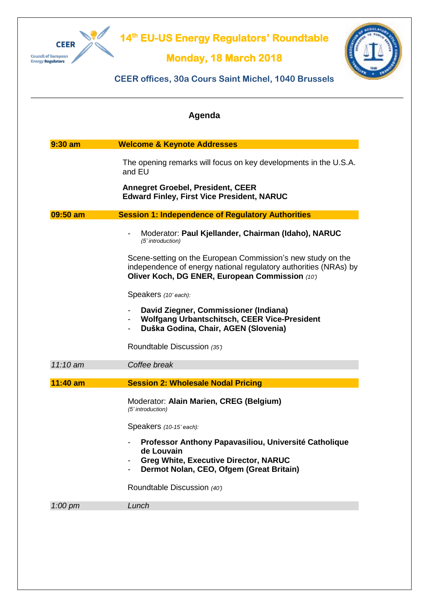

## **14 th EU-US Energy Regulators' Roundtable**

## **Monday, 18 March 2018**



## **CEER offices, 30a Cours Saint Michel, 1040 Brussels**

|            | Agenda                                                                                                                                                                                       |
|------------|----------------------------------------------------------------------------------------------------------------------------------------------------------------------------------------------|
| $9:30$ am  | <b>Welcome &amp; Keynote Addresses</b>                                                                                                                                                       |
|            | The opening remarks will focus on key developments in the U.S.A.<br>and EU                                                                                                                   |
|            | <b>Annegret Groebel, President, CEER</b><br><b>Edward Finley, First Vice President, NARUC</b>                                                                                                |
| 09:50 am   | <b>Session 1: Independence of Regulatory Authorities</b>                                                                                                                                     |
|            | Moderator: Paul Kjellander, Chairman (Idaho), NARUC<br>(5' introduction)                                                                                                                     |
|            | Scene-setting on the European Commission's new study on the<br>independence of energy national regulatory authorities (NRAs) by<br>Oliver Koch, DG ENER, European Commission (10')           |
|            | Speakers (10' each):                                                                                                                                                                         |
|            | David Ziegner, Commissioner (Indiana)<br>$\overline{\phantom{a}}$<br><b>Wolfgang Urbantschitsch, CEER Vice-President</b><br>$\overline{\phantom{a}}$<br>Duška Godina, Chair, AGEN (Slovenia) |
|            | Roundtable Discussion (35')                                                                                                                                                                  |
| 11:10 am   | Coffee break                                                                                                                                                                                 |
| $11:40$ am | <b>Session 2: Wholesale Nodal Pricing</b>                                                                                                                                                    |
|            | Moderator: Alain Marien, CREG (Belgium)<br>(5' introduction)                                                                                                                                 |
|            | Speakers (10-15' each):                                                                                                                                                                      |
|            | Professor Anthony Papavasiliou, Université Catholique<br>de Louvain<br><b>Greg White, Executive Director, NARUC</b>                                                                          |
|            | Dermot Nolan, CEO, Ofgem (Great Britain)                                                                                                                                                     |
|            | Roundtable Discussion (40')                                                                                                                                                                  |
| $1:00$ pm  | Lunch                                                                                                                                                                                        |